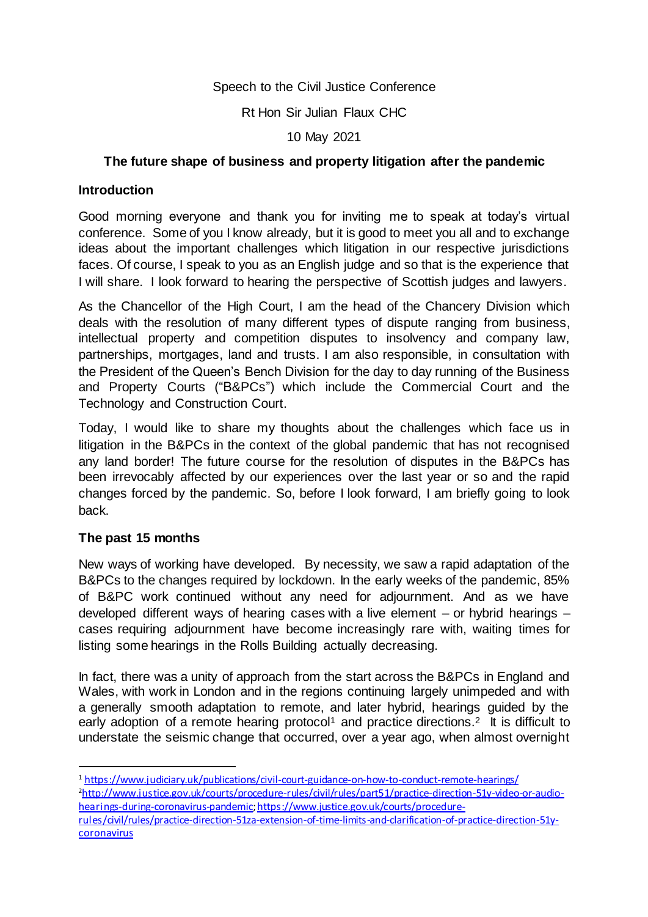#### Speech to the Civil Justice Conference

Rt Hon Sir Julian Flaux CHC

10 May 2021

## **The future shape of business and property litigation after the pandemic**

#### **Introduction**

Good morning everyone and thank you for inviting me to speak at today's virtual conference. Some of you I know already, but it is good to meet you all and to exchange ideas about the important challenges which litigation in our respective jurisdictions faces. Of course, I speak to you as an English judge and so that is the experience that I will share. I look forward to hearing the perspective of Scottish judges and lawyers.

As the Chancellor of the High Court, I am the head of the Chancery Division which deals with the resolution of many different types of dispute ranging from business, intellectual property and competition disputes to insolvency and company law, partnerships, mortgages, land and trusts. I am also responsible, in consultation with the President of the Queen's Bench Division for the day to day running of the Business and Property Courts ("B&PCs") which include the Commercial Court and the Technology and Construction Court.

Today, I would like to share my thoughts about the challenges which face us in litigation in the B&PCs in the context of the global pandemic that has not recognised any land border! The future course for the resolution of disputes in the B&PCs has been irrevocably affected by our experiences over the last year or so and the rapid changes forced by the pandemic. So, before I look forward, I am briefly going to look back.

## **The past 15 months**

 $\overline{a}$ 

New ways of working have developed. By necessity, we saw a rapid adaptation of the B&PCs to the changes required by lockdown. In the early weeks of the pandemic, 85% of B&PC work continued without any need for adjournment. And as we have developed different ways of hearing cases with a live element – or hybrid hearings – cases requiring adjournment have become increasingly rare with, waiting times for listing some hearings in the Rolls Building actually decreasing.

In fact, there was a unity of approach from the start across the B&PCs in England and Wales, with work in London and in the regions continuing largely unimpeded and with a generally smooth adaptation to remote, and later hybrid, hearings guided by the early adoption of a remote hearing protocol<sup>1</sup> and practice directions.<sup>2</sup> It is difficult to understate the seismic change that occurred, over a year ago, when almost overnight

<sup>1</sup> <https://www.judiciary.uk/publications/civil-court-guidance-on-how-to-conduct-remote-hearings/> 2[http://www.justice.gov.uk/courts/procedure-rules/civil/rules/part51/practice-direction-51y-video-or-audio](http://www.justice.gov.uk/courts/procedure-rules/civil/rules/part51/practice-direction-51y-video-or-audio-hearings-during-coronavirus-pandemic)[hearings-during-coronavirus-pandemic](http://www.justice.gov.uk/courts/procedure-rules/civil/rules/part51/practice-direction-51y-video-or-audio-hearings-during-coronavirus-pandemic)[;https://www.justice.gov.uk/courts/procedure-](https://www.justice.gov.uk/courts/procedure-rules/civil/rules/practice-direction-51za-extension-of-time-limits-and-clarification-of-practice-direction-51y-coronavirus)

[rules/civil/rules/practice-direction-51za-extension-of-time-limits-and-clarification-of-practice-direction-51y](https://www.justice.gov.uk/courts/procedure-rules/civil/rules/practice-direction-51za-extension-of-time-limits-and-clarification-of-practice-direction-51y-coronavirus)**[coronavirus](https://www.justice.gov.uk/courts/procedure-rules/civil/rules/practice-direction-51za-extension-of-time-limits-and-clarification-of-practice-direction-51y-coronavirus)**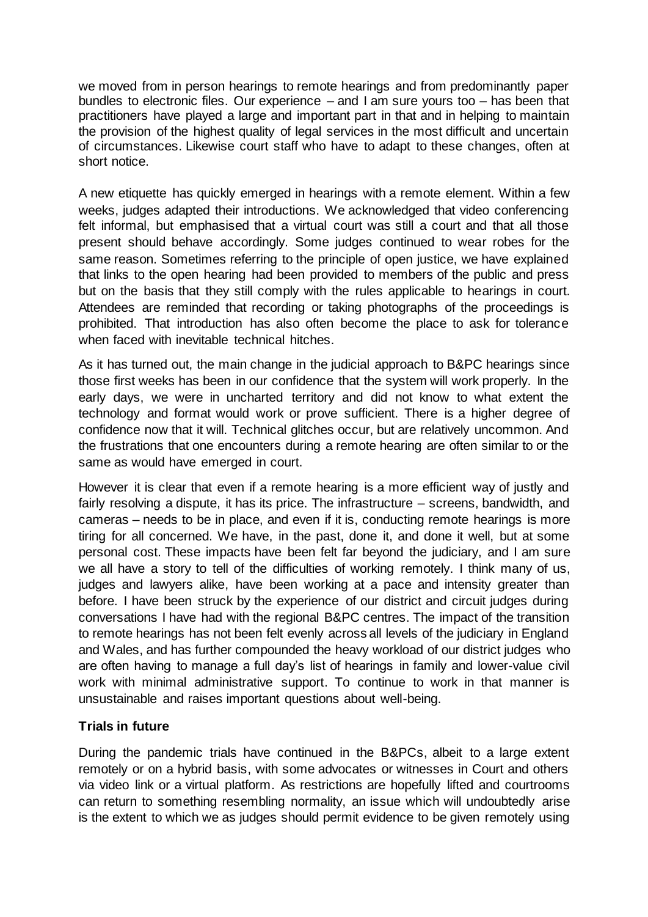we moved from in person hearings to remote hearings and from predominantly paper bundles to electronic files. Our experience – and I am sure yours too – has been that practitioners have played a large and important part in that and in helping to maintain the provision of the highest quality of legal services in the most difficult and uncertain of circumstances. Likewise court staff who have to adapt to these changes, often at short notice.

A new etiquette has quickly emerged in hearings with a remote element. Within a few weeks, judges adapted their introductions. We acknowledged that video conferencing felt informal, but emphasised that a virtual court was still a court and that all those present should behave accordingly. Some judges continued to wear robes for the same reason. Sometimes referring to the principle of open justice, we have explained that links to the open hearing had been provided to members of the public and press but on the basis that they still comply with the rules applicable to hearings in court. Attendees are reminded that recording or taking photographs of the proceedings is prohibited. That introduction has also often become the place to ask for tolerance when faced with inevitable technical hitches.

As it has turned out, the main change in the judicial approach to B&PC hearings since those first weeks has been in our confidence that the system will work properly. In the early days, we were in uncharted territory and did not know to what extent the technology and format would work or prove sufficient. There is a higher degree of confidence now that it will. Technical glitches occur, but are relatively uncommon. And the frustrations that one encounters during a remote hearing are often similar to or the same as would have emerged in court.

However it is clear that even if a remote hearing is a more efficient way of justly and fairly resolving a dispute, it has its price. The infrastructure – screens, bandwidth, and cameras – needs to be in place, and even if it is, conducting remote hearings is more tiring for all concerned. We have, in the past, done it, and done it well, but at some personal cost. These impacts have been felt far beyond the judiciary, and I am sure we all have a story to tell of the difficulties of working remotely. I think many of us, judges and lawyers alike, have been working at a pace and intensity greater than before. I have been struck by the experience of our district and circuit judges during conversations I have had with the regional B&PC centres. The impact of the transition to remote hearings has not been felt evenly across all levels of the judiciary in England and Wales, and has further compounded the heavy workload of our district judges who are often having to manage a full day's list of hearings in family and lower-value civil work with minimal administrative support. To continue to work in that manner is unsustainable and raises important questions about well-being.

## **Trials in future**

During the pandemic trials have continued in the B&PCs, albeit to a large extent remotely or on a hybrid basis, with some advocates or witnesses in Court and others via video link or a virtual platform. As restrictions are hopefully lifted and courtrooms can return to something resembling normality, an issue which will undoubtedly arise is the extent to which we as judges should permit evidence to be given remotely using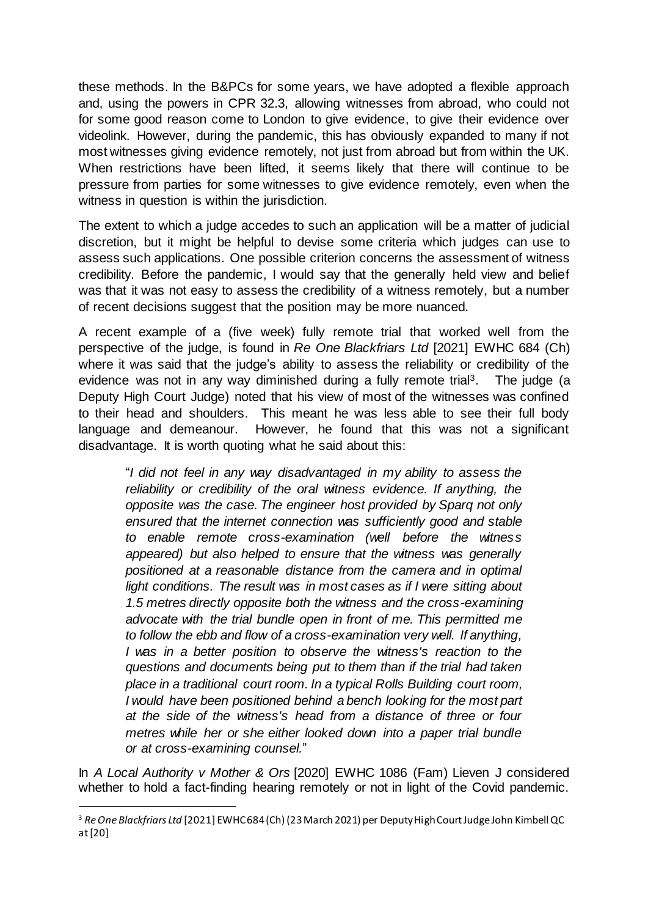these methods. In the B&PCs for some years, we have adopted a flexible approach and, using the powers in CPR 32.3, allowing witnesses from abroad, who could not for some good reason come to London to give evidence, to give their evidence over videolink. However, during the pandemic, this has obviously expanded to many if not most witnesses giving evidence remotely, not just from abroad but from within the UK. When restrictions have been lifted, it seems likely that there will continue to be pressure from parties for some witnesses to give evidence remotely, even when the witness in question is within the jurisdiction.

The extent to which a judge accedes to such an application will be a matter of judicial discretion, but it might be helpful to devise some criteria which judges can use to assess such applications. One possible criterion concerns the assessment of witness credibility. Before the pandemic, I would say that the generally held view and belief was that it was not easy to assess the credibility of a witness remotely, but a number of recent decisions suggest that the position may be more nuanced.

A recent example of a (five week) fully remote trial that worked well from the perspective of the judge, is found in *Re One Blackfriars Ltd* [2021] EWHC 684 (Ch) where it was said that the judge's ability to assess the reliability or credibility of the evidence was not in any way diminished during a fully remote trial<sup>3</sup>. The judge (a Deputy High Court Judge) noted that his view of most of the witnesses was confined to their head and shoulders. This meant he was less able to see their full body language and demeanour. However, he found that this was not a significant disadvantage. It is worth quoting what he said about this:

"*I did not feel in any way disadvantaged in my ability to assess the reliability or credibility of the oral witness evidence. If anything, the opposite was the case. The engineer host provided by Sparq not only ensured that the internet connection was sufficiently good and stable to enable remote cross-examination (well before the witness appeared) but also helped to ensure that the witness was generally positioned at a reasonable distance from the camera and in optimal light conditions. The result was in most cases as if I were sitting about 1.5 metres directly opposite both the witness and the cross-examining advocate with the trial bundle open in front of me. This permitted me to follow the ebb and flow of a cross-examination very well. If anything, I was in a better position to observe the witness's reaction to the questions and documents being put to them than if the trial had taken place in a traditional court room. In a typical Rolls Building court room, I would have been positioned behind a bench looking for the most part at the side of the witness's head from a distance of three or four metres while her or she either looked down into a paper trial bundle or at cross-examining counsel.*"

In *A Local Authority v Mother & Ors* [2020] EWHC 1086 (Fam) Lieven J considered whether to hold a fact-finding hearing remotely or not in light of the Covid pandemic.

 $\overline{a}$ 

<sup>3</sup> *Re One Blackfriars Ltd* [2021] EWHC 684 (Ch) (23March 2021) per Deputy High Court Judge John Kimbell QC at [20]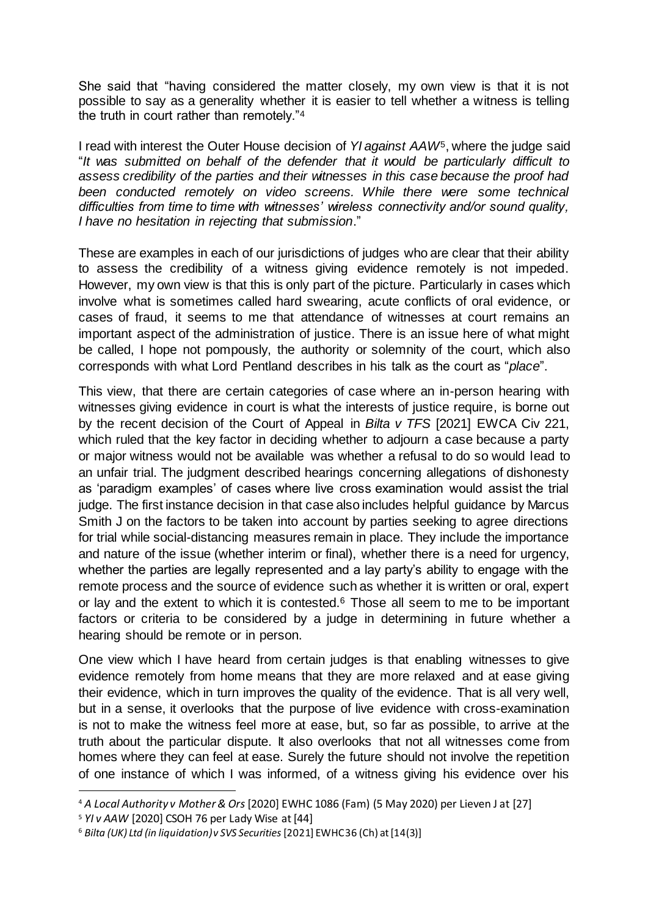She said that "having considered the matter closely, my own view is that it is not possible to say as a generality whether it is easier to tell whether a witness is telling the truth in court rather than remotely."<sup>4</sup>

I read with interest the Outer House decision of *YI against AAW*5, where the judge said "*It was submitted on behalf of the defender that it would be particularly difficult to assess credibility of the parties and their witnesses in this case because the proof had*  been conducted remotely on video screens. While there were some technical *difficulties from time to time with witnesses' wireless connectivity and/or sound quality, I have no hesitation in rejecting that submission*."

These are examples in each of our jurisdictions of judges who are clear that their ability to assess the credibility of a witness giving evidence remotely is not impeded. However, my own view is that this is only part of the picture. Particularly in cases which involve what is sometimes called hard swearing, acute conflicts of oral evidence, or cases of fraud, it seems to me that attendance of witnesses at court remains an important aspect of the administration of justice. There is an issue here of what might be called, I hope not pompously, the authority or solemnity of the court, which also corresponds with what Lord Pentland describes in his talk as the court as "*place*".

This view, that there are certain categories of case where an in-person hearing with witnesses giving evidence in court is what the interests of justice require, is borne out by the recent decision of the Court of Appeal in *Bilta v TFS* [2021] EWCA Civ 221, which ruled that the key factor in deciding whether to adjourn a case because a party or major witness would not be available was whether a refusal to do so would lead to an unfair trial. The judgment described hearings concerning allegations of dishonesty as 'paradigm examples' of cases where live cross examination would assist the trial judge. The first instance decision in that case also includes helpful guidance by Marcus Smith J on the factors to be taken into account by parties seeking to agree directions for trial while social-distancing measures remain in place. They include the importance and nature of the issue (whether interim or final), whether there is a need for urgency, whether the parties are legally represented and a lay party's ability to engage with the remote process and the source of evidence such as whether it is written or oral, expert or lay and the extent to which it is contested.<sup>6</sup> Those all seem to me to be important factors or criteria to be considered by a judge in determining in future whether a hearing should be remote or in person.

One view which I have heard from certain judges is that enabling witnesses to give evidence remotely from home means that they are more relaxed and at ease giving their evidence, which in turn improves the quality of the evidence. That is all very well, but in a sense, it overlooks that the purpose of live evidence with cross-examination is not to make the witness feel more at ease, but, so far as possible, to arrive at the truth about the particular dispute. It also overlooks that not all witnesses come from homes where they can feel at ease. Surely the future should not involve the repetition of one instance of which I was informed, of a witness giving his evidence over his

 $\overline{a}$ <sup>4</sup> *A Local Authority v Mother & Ors* [2020] EWHC 1086 (Fam) (5 May 2020) per Lieven J at [27]

<sup>5</sup> *YI v AAW* [2020] CSOH 76 per Lady Wise at [44]

<sup>6</sup> *Bilta (UK) Ltd (in liquidation) v SVS Securities*[2021] EWHC 36 (Ch) at [14(3)]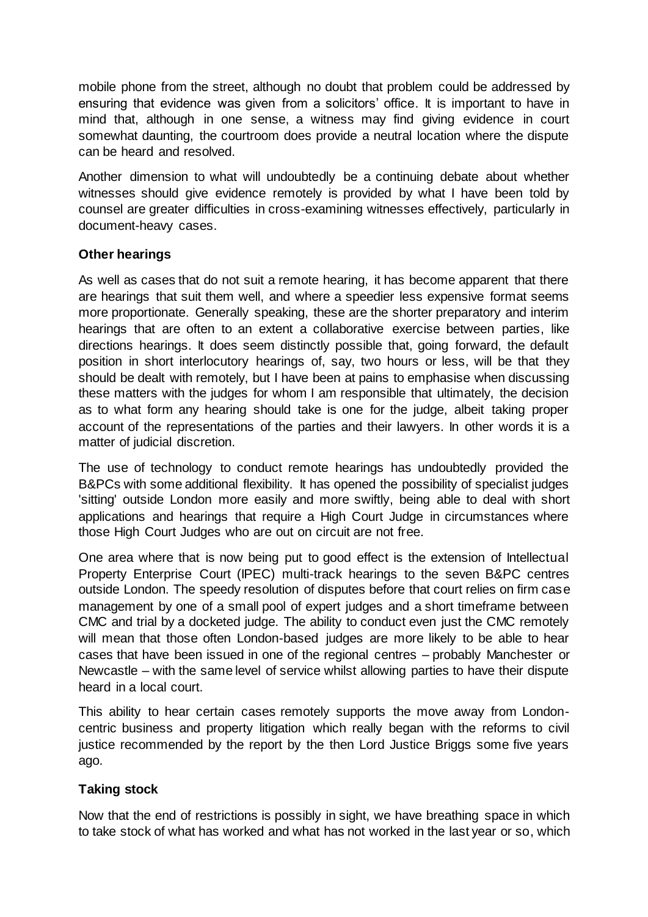mobile phone from the street, although no doubt that problem could be addressed by ensuring that evidence was given from a solicitors' office. It is important to have in mind that, although in one sense, a witness may find giving evidence in court somewhat daunting, the courtroom does provide a neutral location where the dispute can be heard and resolved.

Another dimension to what will undoubtedly be a continuing debate about whether witnesses should give evidence remotely is provided by what I have been told by counsel are greater difficulties in cross-examining witnesses effectively, particularly in document-heavy cases.

#### **Other hearings**

As well as cases that do not suit a remote hearing, it has become apparent that there are hearings that suit them well, and where a speedier less expensive format seems more proportionate. Generally speaking, these are the shorter preparatory and interim hearings that are often to an extent a collaborative exercise between parties, like directions hearings. It does seem distinctly possible that, going forward, the default position in short interlocutory hearings of, say, two hours or less, will be that they should be dealt with remotely, but I have been at pains to emphasise when discussing these matters with the judges for whom I am responsible that ultimately, the decision as to what form any hearing should take is one for the judge, albeit taking proper account of the representations of the parties and their lawyers. In other words it is a matter of judicial discretion.

The use of technology to conduct remote hearings has undoubtedly provided the B&PCs with some additional flexibility. It has opened the possibility of specialist judges 'sitting' outside London more easily and more swiftly, being able to deal with short applications and hearings that require a High Court Judge in circumstances where those High Court Judges who are out on circuit are not free.

One area where that is now being put to good effect is the extension of Intellectual Property Enterprise Court (IPEC) multi-track hearings to the seven B&PC centres outside London. The speedy resolution of disputes before that court relies on firm case management by one of a small pool of expert judges and a short timeframe between CMC and trial by a docketed judge. The ability to conduct even just the CMC remotely will mean that those often London-based judges are more likely to be able to hear cases that have been issued in one of the regional centres – probably Manchester or Newcastle – with the same level of service whilst allowing parties to have their dispute heard in a local court.

This ability to hear certain cases remotely supports the move away from Londoncentric business and property litigation which really began with the reforms to civil justice recommended by the report by the then Lord Justice Briggs some five years ago.

## **Taking stock**

Now that the end of restrictions is possibly in sight, we have breathing space in which to take stock of what has worked and what has not worked in the last year or so, which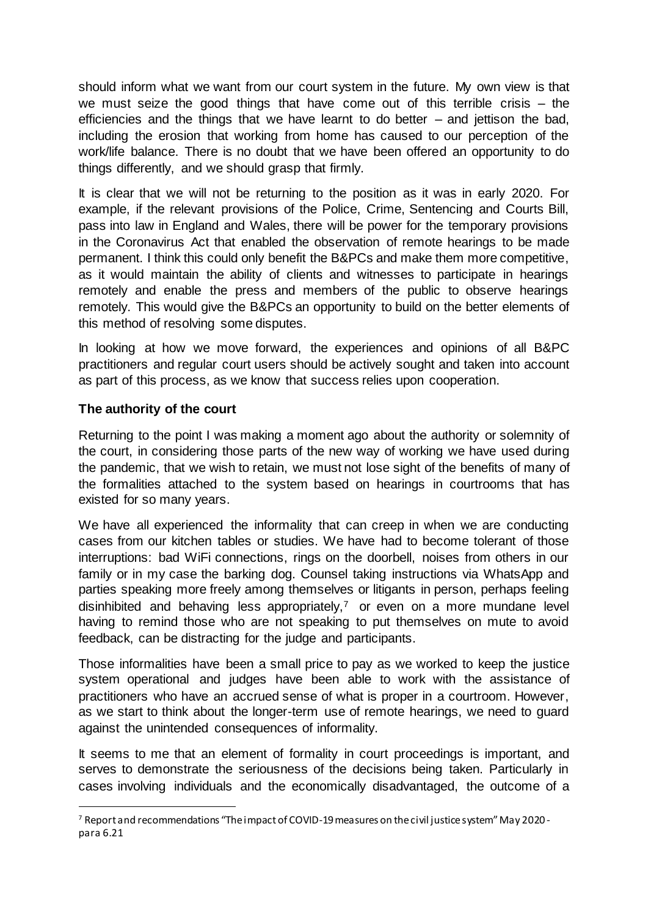should inform what we want from our court system in the future. My own view is that we must seize the good things that have come out of this terrible crisis – the efficiencies and the things that we have learnt to do better  $-$  and jettison the bad, including the erosion that working from home has caused to our perception of the work/life balance. There is no doubt that we have been offered an opportunity to do things differently, and we should grasp that firmly.

It is clear that we will not be returning to the position as it was in early 2020. For example, if the relevant provisions of the Police, Crime, Sentencing and Courts Bill, pass into law in England and Wales, there will be power for the temporary provisions in the Coronavirus Act that enabled the observation of remote hearings to be made permanent. I think this could only benefit the B&PCs and make them more competitive, as it would maintain the ability of clients and witnesses to participate in hearings remotely and enable the press and members of the public to observe hearings remotely. This would give the B&PCs an opportunity to build on the better elements of this method of resolving some disputes.

In looking at how we move forward, the experiences and opinions of all B&PC practitioners and regular court users should be actively sought and taken into account as part of this process, as we know that success relies upon cooperation.

#### **The authority of the court**

 $\overline{a}$ 

Returning to the point I was making a moment ago about the authority or solemnity of the court, in considering those parts of the new way of working we have used during the pandemic, that we wish to retain, we must not lose sight of the benefits of many of the formalities attached to the system based on hearings in courtrooms that has existed for so many years.

We have all experienced the informality that can creep in when we are conducting cases from our kitchen tables or studies. We have had to become tolerant of those interruptions: bad WiFi connections, rings on the doorbell, noises from others in our family or in my case the barking dog. Counsel taking instructions via WhatsApp and parties speaking more freely among themselves or litigants in person, perhaps feeling disinhibited and behaving less appropriately, $7$  or even on a more mundane level having to remind those who are not speaking to put themselves on mute to avoid feedback, can be distracting for the judge and participants.

Those informalities have been a small price to pay as we worked to keep the justice system operational and judges have been able to work with the assistance of practitioners who have an accrued sense of what is proper in a courtroom. However, as we start to think about the longer-term use of remote hearings, we need to guard against the unintended consequences of informality.

It seems to me that an element of formality in court proceedings is important, and serves to demonstrate the seriousness of the decisions being taken. Particularly in cases involving individuals and the economically disadvantaged, the outcome of a

<sup>7</sup> Report and recommendations "The impact of COVID-19 measures on the civil justice system" May 2020 para 6.21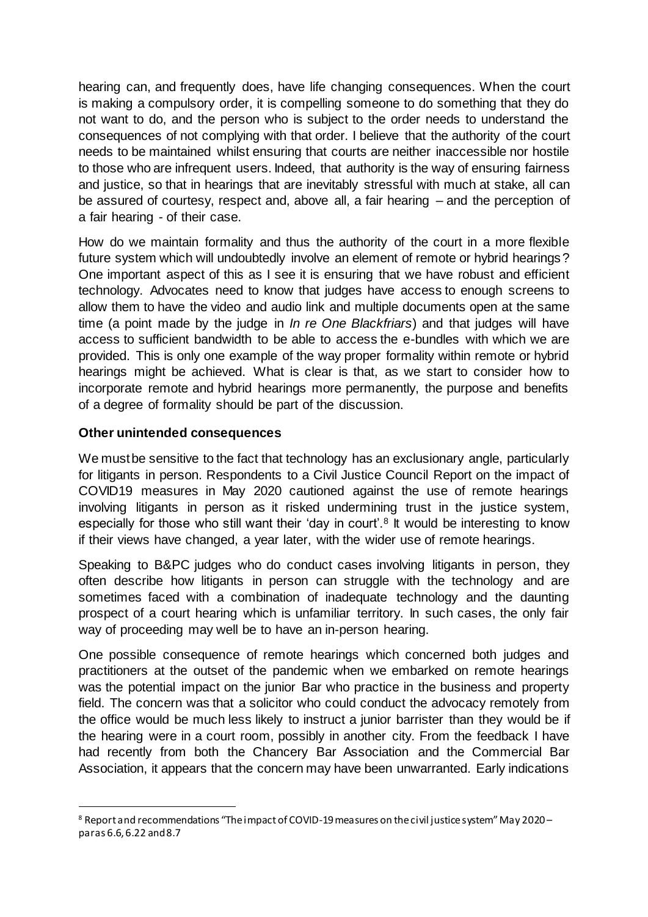hearing can, and frequently does, have life changing consequences. When the court is making a compulsory order, it is compelling someone to do something that they do not want to do, and the person who is subject to the order needs to understand the consequences of not complying with that order. I believe that the authority of the court needs to be maintained whilst ensuring that courts are neither inaccessible nor hostile to those who are infrequent users. Indeed, that authority is the way of ensuring fairness and justice, so that in hearings that are inevitably stressful with much at stake, all can be assured of courtesy, respect and, above all, a fair hearing – and the perception of a fair hearing - of their case.

How do we maintain formality and thus the authority of the court in a more flexible future system which will undoubtedly involve an element of remote or hybrid hearings? One important aspect of this as I see it is ensuring that we have robust and efficient technology. Advocates need to know that judges have access to enough screens to allow them to have the video and audio link and multiple documents open at the same time (a point made by the judge in *In re One Blackfriars*) and that judges will have access to sufficient bandwidth to be able to access the e-bundles with which we are provided. This is only one example of the way proper formality within remote or hybrid hearings might be achieved. What is clear is that, as we start to consider how to incorporate remote and hybrid hearings more permanently, the purpose and benefits of a degree of formality should be part of the discussion.

#### **Other unintended consequences**

 $\overline{a}$ 

We must be sensitive to the fact that technology has an exclusionary angle, particularly for litigants in person. Respondents to a Civil Justice Council Report on the impact of COVID19 measures in May 2020 cautioned against the use of remote hearings involving litigants in person as it risked undermining trust in the justice system, especially for those who still want their 'day in court'.<sup>8</sup> It would be interesting to know if their views have changed, a year later, with the wider use of remote hearings.

Speaking to B&PC judges who do conduct cases involving litigants in person, they often describe how litigants in person can struggle with the technology and are sometimes faced with a combination of inadequate technology and the daunting prospect of a court hearing which is unfamiliar territory. In such cases, the only fair way of proceeding may well be to have an in-person hearing.

One possible consequence of remote hearings which concerned both judges and practitioners at the outset of the pandemic when we embarked on remote hearings was the potential impact on the junior Bar who practice in the business and property field. The concern was that a solicitor who could conduct the advocacy remotely from the office would be much less likely to instruct a junior barrister than they would be if the hearing were in a court room, possibly in another city. From the feedback I have had recently from both the Chancery Bar Association and the Commercial Bar Association, it appears that the concern may have been unwarranted. Early indications

<sup>8</sup> Report and recommendations "The impact of COVID-19 measures on the civil justice system" May 2020 – paras 6.6, 6.22 and 8.7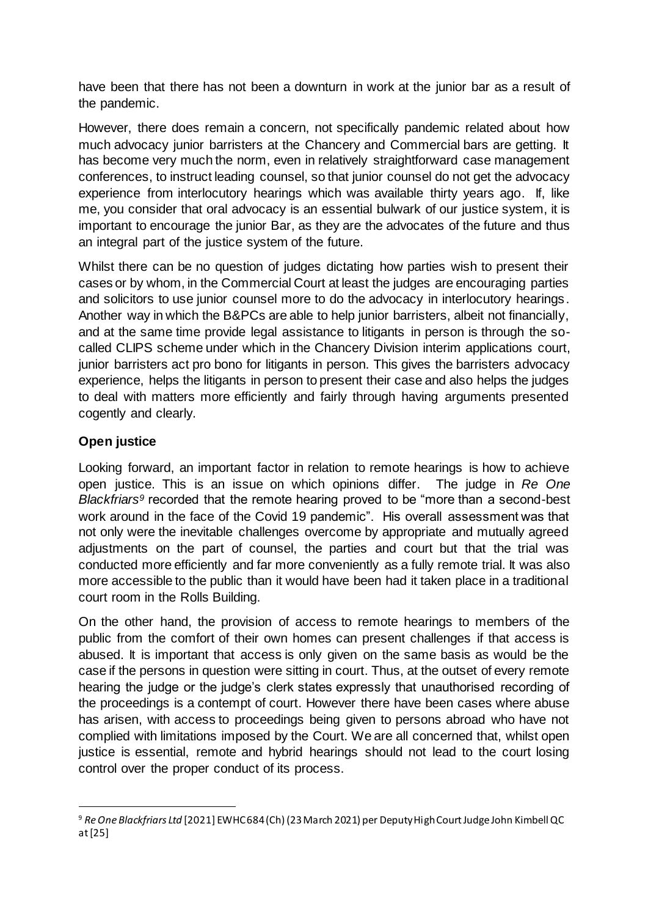have been that there has not been a downturn in work at the junior bar as a result of the pandemic.

However, there does remain a concern, not specifically pandemic related about how much advocacy junior barristers at the Chancery and Commercial bars are getting. It has become very much the norm, even in relatively straightforward case management conferences, to instruct leading counsel, so that junior counsel do not get the advocacy experience from interlocutory hearings which was available thirty years ago. If, like me, you consider that oral advocacy is an essential bulwark of our justice system, it is important to encourage the junior Bar, as they are the advocates of the future and thus an integral part of the justice system of the future.

Whilst there can be no question of judges dictating how parties wish to present their cases or by whom, in the Commercial Court at least the judges are encouraging parties and solicitors to use junior counsel more to do the advocacy in interlocutory hearings. Another way in which the B&PCs are able to help junior barristers, albeit not financially, and at the same time provide legal assistance to litigants in person is through the socalled CLIPS scheme under which in the Chancery Division interim applications court, junior barristers act pro bono for litigants in person. This gives the barristers advocacy experience, helps the litigants in person to present their case and also helps the judges to deal with matters more efficiently and fairly through having arguments presented cogently and clearly.

## **Open justice**

 $\overline{a}$ 

Looking forward, an important factor in relation to remote hearings is how to achieve open justice. This is an issue on which opinions differ. The judge in *Re One Blackfriars<sup>9</sup>* recorded that the remote hearing proved to be "more than a second-best work around in the face of the Covid 19 pandemic". His overall assessment was that not only were the inevitable challenges overcome by appropriate and mutually agreed adjustments on the part of counsel, the parties and court but that the trial was conducted more efficiently and far more conveniently as a fully remote trial. It was also more accessible to the public than it would have been had it taken place in a traditional court room in the Rolls Building.

On the other hand, the provision of access to remote hearings to members of the public from the comfort of their own homes can present challenges if that access is abused. It is important that access is only given on the same basis as would be the case if the persons in question were sitting in court. Thus, at the outset of every remote hearing the judge or the judge's clerk states expressly that unauthorised recording of the proceedings is a contempt of court. However there have been cases where abuse has arisen, with access to proceedings being given to persons abroad who have not complied with limitations imposed by the Court. We are all concerned that, whilst open justice is essential, remote and hybrid hearings should not lead to the court losing control over the proper conduct of its process.

<sup>9</sup> *Re One Blackfriars Ltd* [2021] EWHC 684 (Ch) (23 March 2021) per Deputy High Court Judge John Kimbell QC at [25]